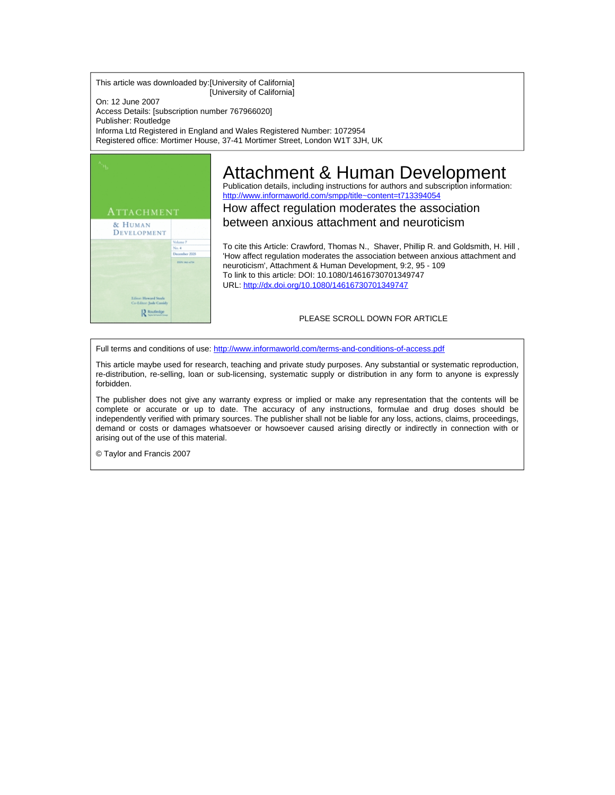This article was downloaded by:[University of California] [University of California]

On: 12 June 2007 Access Details: [subscription number 767966020] Publisher: Routledge Informa Ltd Registered in England and Wales Registered Number: 1072954 Registered office: Mortimer House, 37-41 Mortimer Street, London W1T 3JH, UK



# Attachment & Human Development

Publication details, including instructions for authors and subscription information: <http://www.informaworld.com/smpp/title~content=t713394054>

How affect regulation moderates the association between anxious attachment and neuroticism

To cite this Article: Crawford, Thomas N., Shaver, Phillip R. and Goldsmith, H. Hill , 'How affect regulation moderates the association between anxious attachment and neuroticism', Attachment & Human Development, 9:2, 95 - 109 To link to this article: DOI: 10.1080/14616730701349747 URL: <http://dx.doi.org/10.1080/14616730701349747>

# PLEASE SCROLL DOWN FOR ARTICLE

Full terms and conditions of use: <http://www.informaworld.com/terms-and-conditions-of-access.pdf>

This article maybe used for research, teaching and private study purposes. Any substantial or systematic reproduction, re-distribution, re-selling, loan or sub-licensing, systematic supply or distribution in any form to anyone is expressly forbidden.

The publisher does not give any warranty express or implied or make any representation that the contents will be complete or accurate or up to date. The accuracy of any instructions, formulae and drug doses should be independently verified with primary sources. The publisher shall not be liable for any loss, actions, claims, proceedings, demand or costs or damages whatsoever or howsoever caused arising directly or indirectly in connection with or arising out of the use of this material.

© Taylor and Francis 2007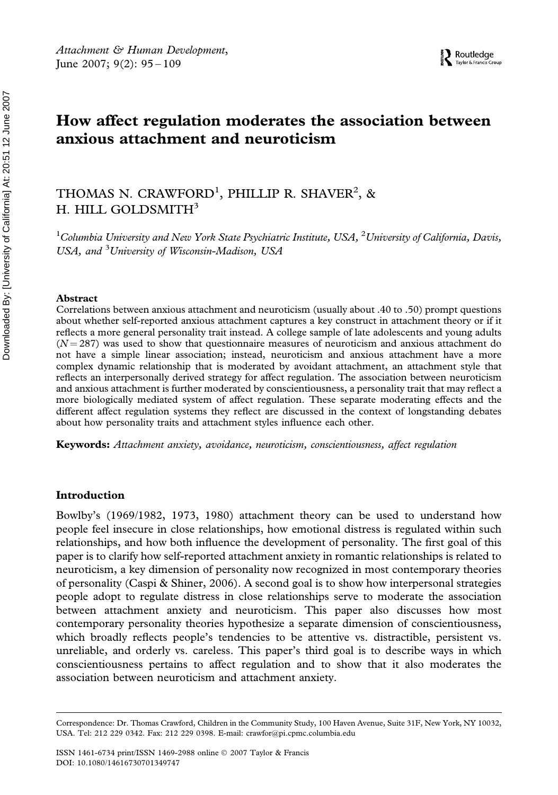# How affect regulation moderates the association between anxious attachment and neuroticism

# THOMAS N. CRAWFORD<sup>1</sup>, PHILLIP R. SHAVER<sup>2</sup>, & H. HILL GOLDSMITH<sup>3</sup>

 $^1$ Columbia University and New York State Psychiatric Institute, USA,  $^2$ University of California, Davis, USA, and <sup>3</sup>University of Wisconsin-Madison, USA

# Abstract

Correlations between anxious attachment and neuroticism (usually about .40 to .50) prompt questions about whether self-reported anxious attachment captures a key construct in attachment theory or if it reflects a more general personality trait instead. A college sample of late adolescents and young adults  $(N = 287)$  was used to show that questionnaire measures of neuroticism and anxious attachment do not have a simple linear association; instead, neuroticism and anxious attachment have a more complex dynamic relationship that is moderated by avoidant attachment, an attachment style that reflects an interpersonally derived strategy for affect regulation. The association between neuroticism and anxious attachment is further moderated by conscientiousness, a personality trait that may reflect a more biologically mediated system of affect regulation. These separate moderating effects and the different affect regulation systems they reflect are discussed in the context of longstanding debates about how personality traits and attachment styles influence each other.

Keywords: Attachment anxiety, avoidance, neuroticism, conscientiousness, affect regulation

# Introduction

Bowlby's (1969/1982, 1973, 1980) attachment theory can be used to understand how people feel insecure in close relationships, how emotional distress is regulated within such relationships, and how both influence the development of personality. The first goal of this paper is to clarify how self-reported attachment anxiety in romantic relationships is related to neuroticism, a key dimension of personality now recognized in most contemporary theories of personality (Caspi  $\&$  Shiner, 2006). A second goal is to show how interpersonal strategies people adopt to regulate distress in close relationships serve to moderate the association between attachment anxiety and neuroticism. This paper also discusses how most contemporary personality theories hypothesize a separate dimension of conscientiousness, which broadly reflects people's tendencies to be attentive vs. distractible, persistent vs. unreliable, and orderly vs. careless. This paper's third goal is to describe ways in which conscientiousness pertains to affect regulation and to show that it also moderates the association between neuroticism and attachment anxiety.

Correspondence: Dr. Thomas Crawford, Children in the Community Study, 100 Haven Avenue, Suite 31F, New York, NY 10032, USA. Tel: 212 229 0342. Fax: 212 229 0398. E-mail: crawfor@pi.cpmc.columbia.edu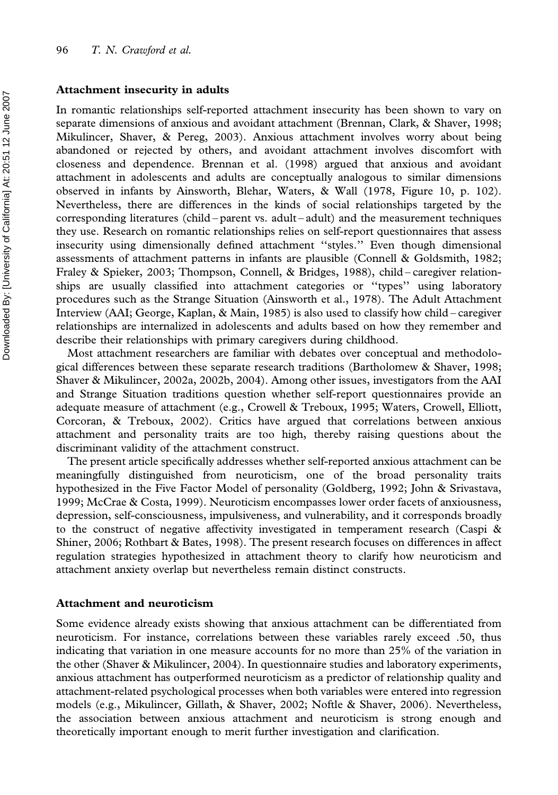#### Attachment insecurity in adults

In romantic relationships self-reported attachment insecurity has been shown to vary on separate dimensions of anxious and avoidant attachment (Brennan, Clark, & Shaver, 1998; Mikulincer, Shaver, & Pereg, 2003). Anxious attachment involves worry about being abandoned or rejected by others, and avoidant attachment involves discomfort with closeness and dependence. Brennan et al. (1998) argued that anxious and avoidant attachment in adolescents and adults are conceptually analogous to similar dimensions observed in infants by Ainsworth, Blehar, Waters, & Wall (1978, Figure 10, p. 102). Nevertheless, there are differences in the kinds of social relationships targeted by the corresponding literatures (child – parent vs. adult – adult) and the measurement techniques they use. Research on romantic relationships relies on self-report questionnaires that assess insecurity using dimensionally defined attachment ''styles.'' Even though dimensional assessments of attachment patterns in infants are plausible (Connell & Goldsmith, 1982; Fraley & Spieker, 2003; Thompson, Connell, & Bridges, 1988), child – caregiver relationships are usually classified into attachment categories or ''types'' using laboratory procedures such as the Strange Situation (Ainsworth et al., 1978). The Adult Attachment Interview (AAI; George, Kaplan, & Main, 1985) is also used to classify how child – caregiver relationships are internalized in adolescents and adults based on how they remember and describe their relationships with primary caregivers during childhood.

Most attachment researchers are familiar with debates over conceptual and methodological differences between these separate research traditions (Bartholomew & Shaver, 1998; Shaver & Mikulincer, 2002a, 2002b, 2004). Among other issues, investigators from the AAI and Strange Situation traditions question whether self-report questionnaires provide an adequate measure of attachment (e.g., Crowell & Treboux, 1995; Waters, Crowell, Elliott, Corcoran, & Treboux, 2002). Critics have argued that correlations between anxious attachment and personality traits are too high, thereby raising questions about the discriminant validity of the attachment construct.

The present article specifically addresses whether self-reported anxious attachment can be meaningfully distinguished from neuroticism, one of the broad personality traits hypothesized in the Five Factor Model of personality (Goldberg, 1992; John & Srivastava, 1999; McCrae & Costa, 1999). Neuroticism encompasses lower order facets of anxiousness, depression, self-consciousness, impulsiveness, and vulnerability, and it corresponds broadly to the construct of negative affectivity investigated in temperament research (Caspi & Shiner, 2006; Rothbart & Bates, 1998). The present research focuses on differences in affect regulation strategies hypothesized in attachment theory to clarify how neuroticism and attachment anxiety overlap but nevertheless remain distinct constructs.

# Attachment and neuroticism

Some evidence already exists showing that anxious attachment can be differentiated from neuroticism. For instance, correlations between these variables rarely exceed .50, thus indicating that variation in one measure accounts for no more than 25% of the variation in the other (Shaver & Mikulincer, 2004). In questionnaire studies and laboratory experiments, anxious attachment has outperformed neuroticism as a predictor of relationship quality and attachment-related psychological processes when both variables were entered into regression models (e.g., Mikulincer, Gillath, & Shaver, 2002; Noftle & Shaver, 2006). Nevertheless, the association between anxious attachment and neuroticism is strong enough and theoretically important enough to merit further investigation and clarification.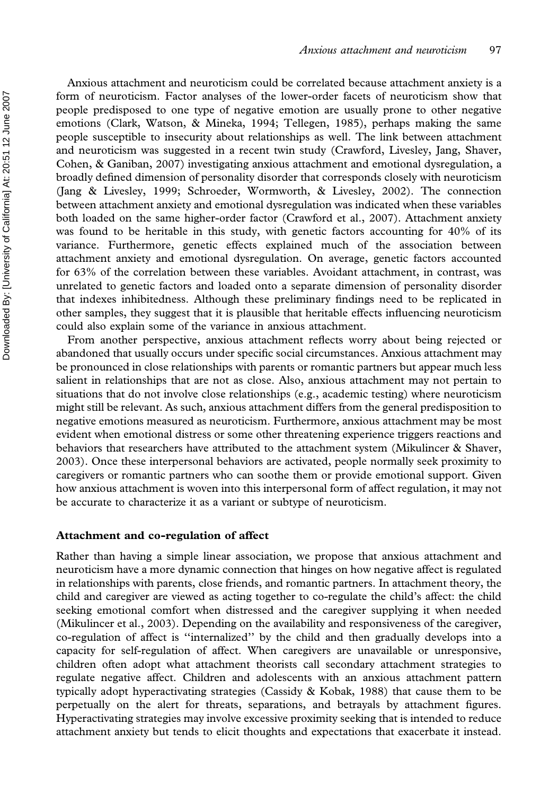Anxious attachment and neuroticism could be correlated because attachment anxiety is a form of neuroticism. Factor analyses of the lower-order facets of neuroticism show that people predisposed to one type of negative emotion are usually prone to other negative emotions (Clark, Watson, & Mineka, 1994; Tellegen, 1985), perhaps making the same people susceptible to insecurity about relationships as well. The link between attachment and neuroticism was suggested in a recent twin study (Crawford, Livesley, Jang, Shaver, Cohen, & Ganiban, 2007) investigating anxious attachment and emotional dysregulation, a broadly defined dimension of personality disorder that corresponds closely with neuroticism (Jang & Livesley, 1999; Schroeder, Wormworth, & Livesley, 2002). The connection between attachment anxiety and emotional dysregulation was indicated when these variables both loaded on the same higher-order factor (Crawford et al., 2007). Attachment anxiety was found to be heritable in this study, with genetic factors accounting for 40% of its variance. Furthermore, genetic effects explained much of the association between attachment anxiety and emotional dysregulation. On average, genetic factors accounted for 63% of the correlation between these variables. Avoidant attachment, in contrast, was unrelated to genetic factors and loaded onto a separate dimension of personality disorder that indexes inhibitedness. Although these preliminary findings need to be replicated in other samples, they suggest that it is plausible that heritable effects influencing neuroticism could also explain some of the variance in anxious attachment.

From another perspective, anxious attachment reflects worry about being rejected or abandoned that usually occurs under specific social circumstances. Anxious attachment may be pronounced in close relationships with parents or romantic partners but appear much less salient in relationships that are not as close. Also, anxious attachment may not pertain to situations that do not involve close relationships (e.g., academic testing) where neuroticism might still be relevant. As such, anxious attachment differs from the general predisposition to negative emotions measured as neuroticism. Furthermore, anxious attachment may be most evident when emotional distress or some other threatening experience triggers reactions and behaviors that researchers have attributed to the attachment system (Mikulincer & Shaver, 2003). Once these interpersonal behaviors are activated, people normally seek proximity to caregivers or romantic partners who can soothe them or provide emotional support. Given how anxious attachment is woven into this interpersonal form of affect regulation, it may not be accurate to characterize it as a variant or subtype of neuroticism.

### Attachment and co-regulation of affect

Rather than having a simple linear association, we propose that anxious attachment and neuroticism have a more dynamic connection that hinges on how negative affect is regulated in relationships with parents, close friends, and romantic partners. In attachment theory, the child and caregiver are viewed as acting together to co-regulate the child's affect: the child seeking emotional comfort when distressed and the caregiver supplying it when needed (Mikulincer et al., 2003). Depending on the availability and responsiveness of the caregiver, co-regulation of affect is ''internalized'' by the child and then gradually develops into a capacity for self-regulation of affect. When caregivers are unavailable or unresponsive, children often adopt what attachment theorists call secondary attachment strategies to regulate negative affect. Children and adolescents with an anxious attachment pattern typically adopt hyperactivating strategies (Cassidy  $\&$  Kobak, 1988) that cause them to be perpetually on the alert for threats, separations, and betrayals by attachment figures. Hyperactivating strategies may involve excessive proximity seeking that is intended to reduce attachment anxiety but tends to elicit thoughts and expectations that exacerbate it instead.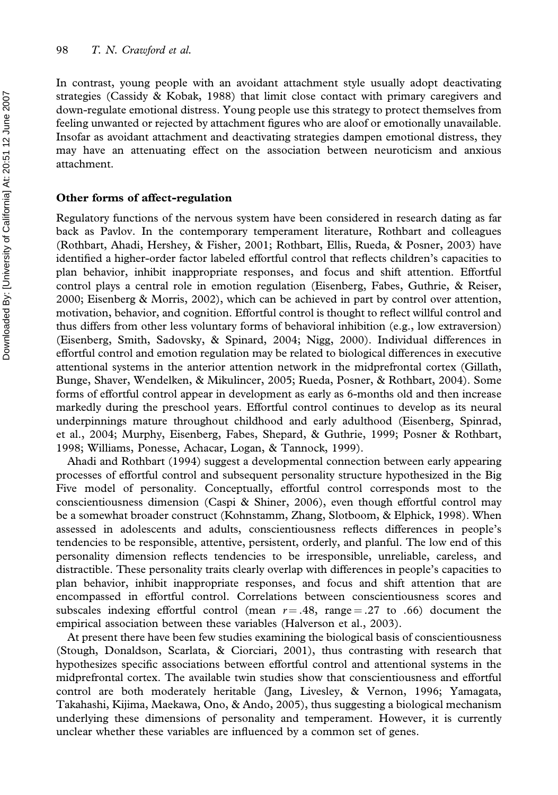In contrast, young people with an avoidant attachment style usually adopt deactivating strategies (Cassidy & Kobak, 1988) that limit close contact with primary caregivers and down-regulate emotional distress. Young people use this strategy to protect themselves from feeling unwanted or rejected by attachment figures who are aloof or emotionally unavailable. Insofar as avoidant attachment and deactivating strategies dampen emotional distress, they may have an attenuating effect on the association between neuroticism and anxious attachment.

# Other forms of affect-regulation

Regulatory functions of the nervous system have been considered in research dating as far back as Pavlov. In the contemporary temperament literature, Rothbart and colleagues (Rothbart, Ahadi, Hershey, & Fisher, 2001; Rothbart, Ellis, Rueda, & Posner, 2003) have identified a higher-order factor labeled effortful control that reflects children's capacities to plan behavior, inhibit inappropriate responses, and focus and shift attention. Effortful control plays a central role in emotion regulation (Eisenberg, Fabes, Guthrie, & Reiser, 2000; Eisenberg & Morris, 2002), which can be achieved in part by control over attention, motivation, behavior, and cognition. Effortful control is thought to reflect willful control and thus differs from other less voluntary forms of behavioral inhibition (e.g., low extraversion) (Eisenberg, Smith, Sadovsky, & Spinard, 2004; Nigg, 2000). Individual differences in effortful control and emotion regulation may be related to biological differences in executive attentional systems in the anterior attention network in the midprefrontal cortex (Gillath, Bunge, Shaver, Wendelken, & Mikulincer, 2005; Rueda, Posner, & Rothbart, 2004). Some forms of effortful control appear in development as early as 6-months old and then increase markedly during the preschool years. Effortful control continues to develop as its neural underpinnings mature throughout childhood and early adulthood (Eisenberg, Spinrad, et al., 2004; Murphy, Eisenberg, Fabes, Shepard, & Guthrie, 1999; Posner & Rothbart, 1998; Williams, Ponesse, Achacar, Logan, & Tannock, 1999).

Ahadi and Rothbart (1994) suggest a developmental connection between early appearing processes of effortful control and subsequent personality structure hypothesized in the Big Five model of personality. Conceptually, effortful control corresponds most to the conscientiousness dimension (Caspi & Shiner, 2006), even though effortful control may be a somewhat broader construct (Kohnstamm, Zhang, Slotboom, & Elphick, 1998). When assessed in adolescents and adults, conscientiousness reflects differences in people's tendencies to be responsible, attentive, persistent, orderly, and planful. The low end of this personality dimension reflects tendencies to be irresponsible, unreliable, careless, and distractible. These personality traits clearly overlap with differences in people's capacities to plan behavior, inhibit inappropriate responses, and focus and shift attention that are encompassed in effortful control. Correlations between conscientiousness scores and subscales indexing effortful control (mean  $r = .48$ , range  $= .27$  to .66) document the empirical association between these variables (Halverson et al., 2003).

At present there have been few studies examining the biological basis of conscientiousness (Stough, Donaldson, Scarlata, & Ciorciari, 2001), thus contrasting with research that hypothesizes specific associations between effortful control and attentional systems in the midprefrontal cortex. The available twin studies show that conscientiousness and effortful control are both moderately heritable (Jang, Livesley, & Vernon, 1996; Yamagata, Takahashi, Kijima, Maekawa, Ono, & Ando, 2005), thus suggesting a biological mechanism underlying these dimensions of personality and temperament. However, it is currently unclear whether these variables are influenced by a common set of genes.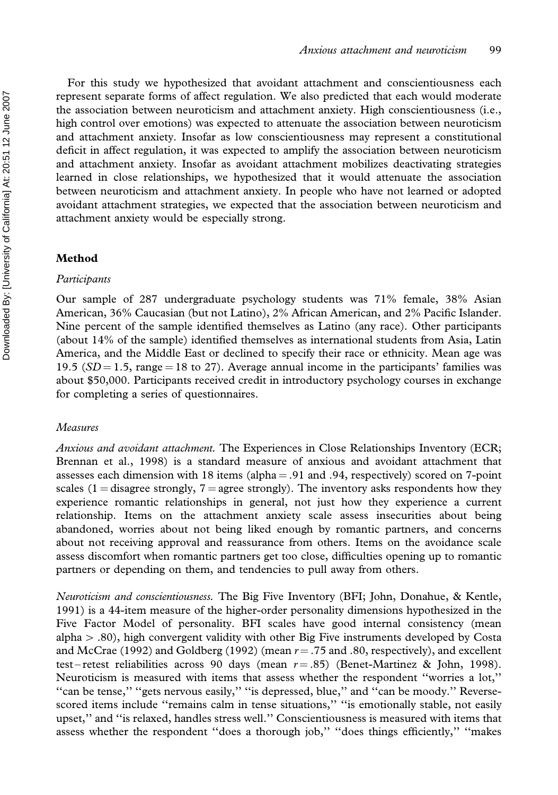For this study we hypothesized that avoidant attachment and conscientiousness each represent separate forms of affect regulation. We also predicted that each would moderate the association between neuroticism and attachment anxiety. High conscientiousness (i.e., high control over emotions) was expected to attenuate the association between neuroticism and attachment anxiety. Insofar as low conscientiousness may represent a constitutional deficit in affect regulation, it was expected to amplify the association between neuroticism and attachment anxiety. Insofar as avoidant attachment mobilizes deactivating strategies learned in close relationships, we hypothesized that it would attenuate the association between neuroticism and attachment anxiety. In people who have not learned or adopted avoidant attachment strategies, we expected that the association between neuroticism and attachment anxiety would be especially strong.

# Method

# Participants

Our sample of 287 undergraduate psychology students was 71% female, 38% Asian American, 36% Caucasian (but not Latino), 2% African American, and 2% Pacific Islander. Nine percent of the sample identified themselves as Latino (any race). Other participants (about 14% of the sample) identified themselves as international students from Asia, Latin America, and the Middle East or declined to specify their race or ethnicity. Mean age was 19.5 ( $SD = 1.5$ , range = 18 to 27). Average annual income in the participants' families was about \$50,000. Participants received credit in introductory psychology courses in exchange for completing a series of questionnaires.

# Measures

Anxious and avoidant attachment. The Experiences in Close Relationships Inventory (ECR; Brennan et al., 1998) is a standard measure of anxious and avoidant attachment that assesses each dimension with 18 items (alpha  $= .91$  and  $.94$ , respectively) scored on 7-point scales (1 = disagree strongly,  $7 =$  agree strongly). The inventory asks respondents how they experience romantic relationships in general, not just how they experience a current relationship. Items on the attachment anxiety scale assess insecurities about being abandoned, worries about not being liked enough by romantic partners, and concerns about not receiving approval and reassurance from others. Items on the avoidance scale assess discomfort when romantic partners get too close, difficulties opening up to romantic partners or depending on them, and tendencies to pull away from others.

Neuroticism and conscientiousness. The Big Five Inventory (BFI; John, Donahue, & Kentle, 1991) is a 44-item measure of the higher-order personality dimensions hypothesized in the Five Factor Model of personality. BFI scales have good internal consistency (mean alpha  $> 0.80$ , high convergent validity with other Big Five instruments developed by Costa and McCrae (1992) and Goldberg (1992) (mean  $r = .75$  and .80, respectively), and excellent test-retest reliabilities across 90 days (mean  $r = .85$ ) (Benet-Martinez & John, 1998). Neuroticism is measured with items that assess whether the respondent ''worries a lot,'' "can be tense," "gets nervous easily," "is depressed, blue," and "can be moody." Reversescored items include "remains calm in tense situations," "is emotionally stable, not easily upset,'' and ''is relaxed, handles stress well.'' Conscientiousness is measured with items that assess whether the respondent ''does a thorough job,'' ''does things efficiently,'' ''makes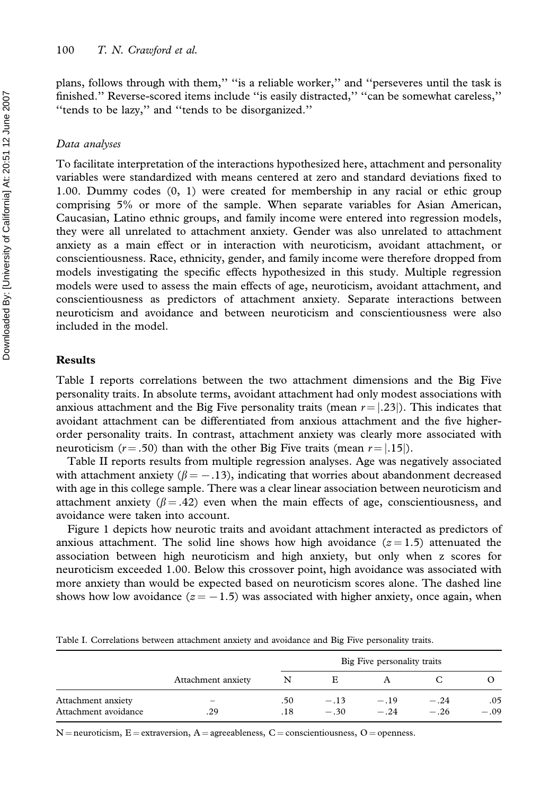plans, follows through with them," "is a reliable worker," and "perseveres until the task is finished.'' Reverse-scored items include ''is easily distracted,'' ''can be somewhat careless,'' ''tends to be lazy,'' and ''tends to be disorganized.''

# Data analyses

To facilitate interpretation of the interactions hypothesized here, attachment and personality variables were standardized with means centered at zero and standard deviations fixed to 1.00. Dummy codes (0, 1) were created for membership in any racial or ethic group comprising 5% or more of the sample. When separate variables for Asian American, Caucasian, Latino ethnic groups, and family income were entered into regression models, they were all unrelated to attachment anxiety. Gender was also unrelated to attachment anxiety as a main effect or in interaction with neuroticism, avoidant attachment, or conscientiousness. Race, ethnicity, gender, and family income were therefore dropped from models investigating the specific effects hypothesized in this study. Multiple regression models were used to assess the main effects of age, neuroticism, avoidant attachment, and conscientiousness as predictors of attachment anxiety. Separate interactions between neuroticism and avoidance and between neuroticism and conscientiousness were also included in the model.

# Results

Table I reports correlations between the two attachment dimensions and the Big Five personality traits. In absolute terms, avoidant attachment had only modest associations with anxious attachment and the Big Five personality traits (mean  $r = |23|$ ). This indicates that avoidant attachment can be differentiated from anxious attachment and the five higherorder personality traits. In contrast, attachment anxiety was clearly more associated with neuroticism ( $r = .50$ ) than with the other Big Five traits (mean  $r = |.15|$ ).

Table II reports results from multiple regression analyses. Age was negatively associated with attachment anxiety ( $\beta = -13$ ), indicating that worries about abandonment decreased with age in this college sample. There was a clear linear association between neuroticism and attachment anxiety ( $\beta = .42$ ) even when the main effects of age, conscientiousness, and avoidance were taken into account.

Figure 1 depicts how neurotic traits and avoidant attachment interacted as predictors of anxious attachment. The solid line shows how high avoidance  $(z = 1.5)$  attenuated the association between high neuroticism and high anxiety, but only when z scores for neuroticism exceeded 1.00. Below this crossover point, high avoidance was associated with more anxiety than would be expected based on neuroticism scores alone. The dashed line shows how low avoidance  $(z = -1.5)$  was associated with higher anxiety, once again, when

|  | Table I. Correlations between attachment anxiety and avoidance and Big Five personality traits. |  |  |  |  |  |  |  |  |  |  |
|--|-------------------------------------------------------------------------------------------------|--|--|--|--|--|--|--|--|--|--|
|--|-------------------------------------------------------------------------------------------------|--|--|--|--|--|--|--|--|--|--|

|                      |                    | Big Five personality traits |        |        |        |        |  |  |
|----------------------|--------------------|-----------------------------|--------|--------|--------|--------|--|--|
|                      | Attachment anxiety | N                           | н.     |        |        |        |  |  |
| Attachment anxiety   | $-$                | .50                         | $-.13$ | $-.19$ | $-.24$ | .05    |  |  |
| Attachment avoidance | .29                | .18                         | $-.30$ | $-.24$ | $-.26$ | $-.09$ |  |  |

 $N =$  neuroticism,  $E =$  extraversion,  $A =$  agreeableness,  $C =$  conscientiousness,  $O =$  openness.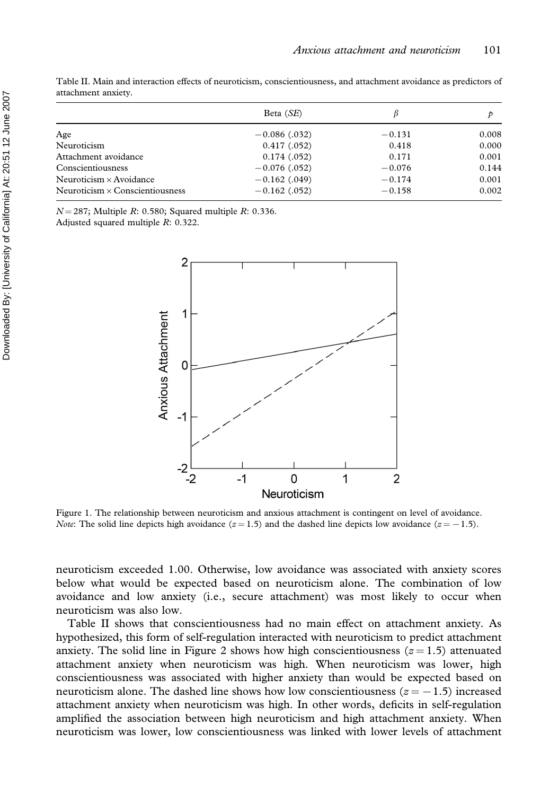|                                        | Beta (SE)       |          | D     |
|----------------------------------------|-----------------|----------|-------|
| Age                                    | $-0.086$ (.032) | $-0.131$ | 0.008 |
| Neuroticism                            | 0.417(0.052)    | 0.418    | 0.000 |
| Attachment avoidance                   | 0.174(.052)     | 0.171    | 0.001 |
| Conscientiousness                      | $-0.076$ (.052) | $-0.076$ | 0.144 |
| Neuroticism $\times$ Avoidance         | $-0.162$ (.049) | $-0.174$ | 0.001 |
| Neuroticism $\times$ Conscientiousness | $-0.162$ (.052) | $-0.158$ | 0.002 |
|                                        |                 |          |       |

Table II. Main and interaction effects of neuroticism, conscientiousness, and attachment avoidance as predictors of attachment anxiety.

 $N = 287$ ; Multiple R: 0.580; Squared multiple R: 0.336.

Adjusted squared multiple R: 0.322.



Figure 1. The relationship between neuroticism and anxious attachment is contingent on level of avoidance. *Note:* The solid line depicts high avoidance  $(z = 1.5)$  and the dashed line depicts low avoidance  $(z = -1.5)$ .

neuroticism exceeded 1.00. Otherwise, low avoidance was associated with anxiety scores below what would be expected based on neuroticism alone. The combination of low avoidance and low anxiety (i.e., secure attachment) was most likely to occur when neuroticism was also low.

Table II shows that conscientiousness had no main effect on attachment anxiety. As hypothesized, this form of self-regulation interacted with neuroticism to predict attachment anxiety. The solid line in Figure 2 shows how high conscientiousness ( $z = 1.5$ ) attenuated attachment anxiety when neuroticism was high. When neuroticism was lower, high conscientiousness was associated with higher anxiety than would be expected based on neuroticism alone. The dashed line shows how low conscientiousness  $(z = -1.5)$  increased attachment anxiety when neuroticism was high. In other words, deficits in self-regulation amplified the association between high neuroticism and high attachment anxiety. When neuroticism was lower, low conscientiousness was linked with lower levels of attachment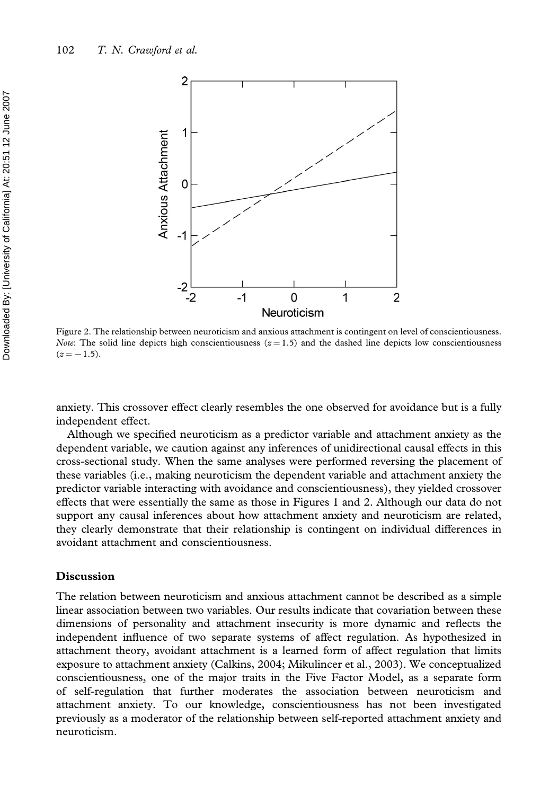

Figure 2. The relationship between neuroticism and anxious attachment is contingent on level of conscientiousness. *Note*: The solid line depicts high conscientiousness ( $z = 1.5$ ) and the dashed line depicts low conscientiousness  $(z = -1.5)$ .

anxiety. This crossover effect clearly resembles the one observed for avoidance but is a fully independent effect.

Although we specified neuroticism as a predictor variable and attachment anxiety as the dependent variable, we caution against any inferences of unidirectional causal effects in this cross-sectional study. When the same analyses were performed reversing the placement of these variables (i.e., making neuroticism the dependent variable and attachment anxiety the predictor variable interacting with avoidance and conscientiousness), they yielded crossover effects that were essentially the same as those in Figures 1 and 2. Although our data do not support any causal inferences about how attachment anxiety and neuroticism are related, they clearly demonstrate that their relationship is contingent on individual differences in avoidant attachment and conscientiousness.

# Discussion

The relation between neuroticism and anxious attachment cannot be described as a simple linear association between two variables. Our results indicate that covariation between these dimensions of personality and attachment insecurity is more dynamic and reflects the independent influence of two separate systems of affect regulation. As hypothesized in attachment theory, avoidant attachment is a learned form of affect regulation that limits exposure to attachment anxiety (Calkins, 2004; Mikulincer et al., 2003). We conceptualized conscientiousness, one of the major traits in the Five Factor Model, as a separate form of self-regulation that further moderates the association between neuroticism and attachment anxiety. To our knowledge, conscientiousness has not been investigated previously as a moderator of the relationship between self-reported attachment anxiety and neuroticism.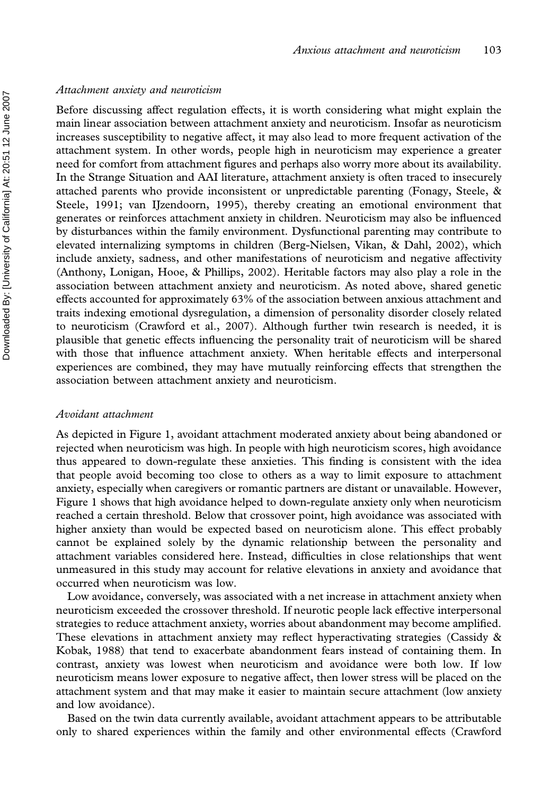### Attachment anxiety and neuroticism

Before discussing affect regulation effects, it is worth considering what might explain the main linear association between attachment anxiety and neuroticism. Insofar as neuroticism increases susceptibility to negative affect, it may also lead to more frequent activation of the attachment system. In other words, people high in neuroticism may experience a greater need for comfort from attachment figures and perhaps also worry more about its availability. In the Strange Situation and AAI literature, attachment anxiety is often traced to insecurely attached parents who provide inconsistent or unpredictable parenting (Fonagy, Steele, & Steele, 1991; van IJzendoorn, 1995), thereby creating an emotional environment that generates or reinforces attachment anxiety in children. Neuroticism may also be influenced by disturbances within the family environment. Dysfunctional parenting may contribute to elevated internalizing symptoms in children (Berg-Nielsen, Vikan, & Dahl, 2002), which include anxiety, sadness, and other manifestations of neuroticism and negative affectivity (Anthony, Lonigan, Hooe, & Phillips, 2002). Heritable factors may also play a role in the association between attachment anxiety and neuroticism. As noted above, shared genetic effects accounted for approximately 63% of the association between anxious attachment and traits indexing emotional dysregulation, a dimension of personality disorder closely related to neuroticism (Crawford et al., 2007). Although further twin research is needed, it is plausible that genetic effects influencing the personality trait of neuroticism will be shared with those that influence attachment anxiety. When heritable effects and interpersonal experiences are combined, they may have mutually reinforcing effects that strengthen the association between attachment anxiety and neuroticism.

# Avoidant attachment

As depicted in Figure 1, avoidant attachment moderated anxiety about being abandoned or rejected when neuroticism was high. In people with high neuroticism scores, high avoidance thus appeared to down-regulate these anxieties. This finding is consistent with the idea that people avoid becoming too close to others as a way to limit exposure to attachment anxiety, especially when caregivers or romantic partners are distant or unavailable. However, Figure 1 shows that high avoidance helped to down-regulate anxiety only when neuroticism reached a certain threshold. Below that crossover point, high avoidance was associated with higher anxiety than would be expected based on neuroticism alone. This effect probably cannot be explained solely by the dynamic relationship between the personality and attachment variables considered here. Instead, difficulties in close relationships that went unmeasured in this study may account for relative elevations in anxiety and avoidance that occurred when neuroticism was low.

Low avoidance, conversely, was associated with a net increase in attachment anxiety when neuroticism exceeded the crossover threshold. If neurotic people lack effective interpersonal strategies to reduce attachment anxiety, worries about abandonment may become amplified. These elevations in attachment anxiety may reflect hyperactivating strategies (Cassidy & Kobak, 1988) that tend to exacerbate abandonment fears instead of containing them. In contrast, anxiety was lowest when neuroticism and avoidance were both low. If low neuroticism means lower exposure to negative affect, then lower stress will be placed on the attachment system and that may make it easier to maintain secure attachment (low anxiety and low avoidance).

Based on the twin data currently available, avoidant attachment appears to be attributable only to shared experiences within the family and other environmental effects (Crawford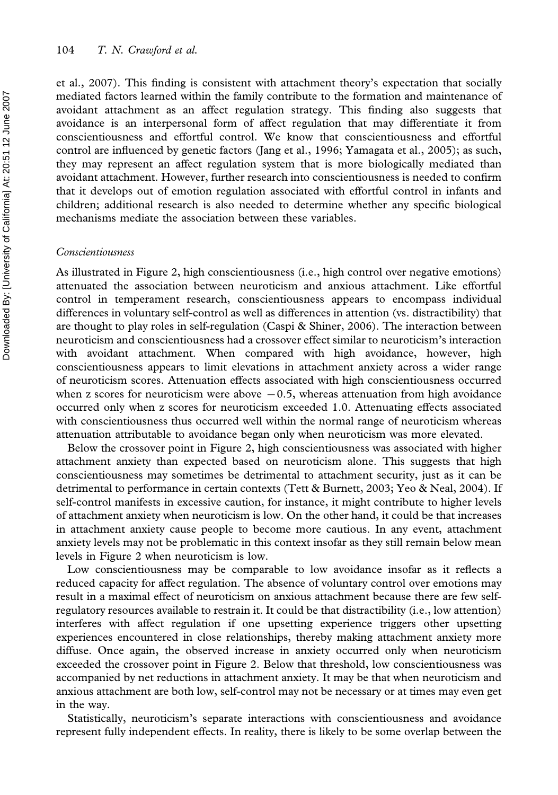et al., 2007). This finding is consistent with attachment theory's expectation that socially mediated factors learned within the family contribute to the formation and maintenance of avoidant attachment as an affect regulation strategy. This finding also suggests that avoidance is an interpersonal form of affect regulation that may differentiate it from conscientiousness and effortful control. We know that conscientiousness and effortful control are influenced by genetic factors (Jang et al., 1996; Yamagata et al., 2005); as such, they may represent an affect regulation system that is more biologically mediated than avoidant attachment. However, further research into conscientiousness is needed to confirm that it develops out of emotion regulation associated with effortful control in infants and children; additional research is also needed to determine whether any specific biological mechanisms mediate the association between these variables.

#### Conscientiousness

As illustrated in Figure 2, high conscientiousness (i.e., high control over negative emotions) attenuated the association between neuroticism and anxious attachment. Like effortful control in temperament research, conscientiousness appears to encompass individual differences in voluntary self-control as well as differences in attention (vs. distractibility) that are thought to play roles in self-regulation (Caspi & Shiner, 2006). The interaction between neuroticism and conscientiousness had a crossover effect similar to neuroticism's interaction with avoidant attachment. When compared with high avoidance, however, high conscientiousness appears to limit elevations in attachment anxiety across a wider range of neuroticism scores. Attenuation effects associated with high conscientiousness occurred when z scores for neuroticism were above  $-0.5$ , whereas attenuation from high avoidance occurred only when z scores for neuroticism exceeded 1.0. Attenuating effects associated with conscientiousness thus occurred well within the normal range of neuroticism whereas attenuation attributable to avoidance began only when neuroticism was more elevated.

Below the crossover point in Figure 2, high conscientiousness was associated with higher attachment anxiety than expected based on neuroticism alone. This suggests that high conscientiousness may sometimes be detrimental to attachment security, just as it can be detrimental to performance in certain contexts (Tett & Burnett, 2003; Yeo & Neal, 2004). If self-control manifests in excessive caution, for instance, it might contribute to higher levels of attachment anxiety when neuroticism is low. On the other hand, it could be that increases in attachment anxiety cause people to become more cautious. In any event, attachment anxiety levels may not be problematic in this context insofar as they still remain below mean levels in Figure 2 when neuroticism is low.

Low conscientiousness may be comparable to low avoidance insofar as it reflects a reduced capacity for affect regulation. The absence of voluntary control over emotions may result in a maximal effect of neuroticism on anxious attachment because there are few selfregulatory resources available to restrain it. It could be that distractibility (i.e., low attention) interferes with affect regulation if one upsetting experience triggers other upsetting experiences encountered in close relationships, thereby making attachment anxiety more diffuse. Once again, the observed increase in anxiety occurred only when neuroticism exceeded the crossover point in Figure 2. Below that threshold, low conscientiousness was accompanied by net reductions in attachment anxiety. It may be that when neuroticism and anxious attachment are both low, self-control may not be necessary or at times may even get in the way.

Statistically, neuroticism's separate interactions with conscientiousness and avoidance represent fully independent effects. In reality, there is likely to be some overlap between the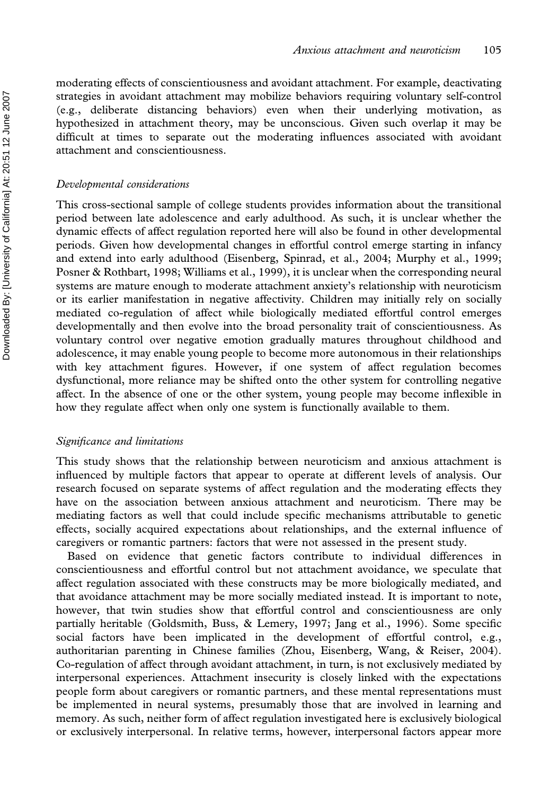moderating effects of conscientiousness and avoidant attachment. For example, deactivating strategies in avoidant attachment may mobilize behaviors requiring voluntary self-control (e.g., deliberate distancing behaviors) even when their underlying motivation, as hypothesized in attachment theory, may be unconscious. Given such overlap it may be difficult at times to separate out the moderating influences associated with avoidant attachment and conscientiousness.

### Developmental considerations

This cross-sectional sample of college students provides information about the transitional period between late adolescence and early adulthood. As such, it is unclear whether the dynamic effects of affect regulation reported here will also be found in other developmental periods. Given how developmental changes in effortful control emerge starting in infancy and extend into early adulthood (Eisenberg, Spinrad, et al., 2004; Murphy et al., 1999; Posner & Rothbart, 1998; Williams et al., 1999), it is unclear when the corresponding neural systems are mature enough to moderate attachment anxiety's relationship with neuroticism or its earlier manifestation in negative affectivity. Children may initially rely on socially mediated co-regulation of affect while biologically mediated effortful control emerges developmentally and then evolve into the broad personality trait of conscientiousness. As voluntary control over negative emotion gradually matures throughout childhood and adolescence, it may enable young people to become more autonomous in their relationships with key attachment figures. However, if one system of affect regulation becomes dysfunctional, more reliance may be shifted onto the other system for controlling negative affect. In the absence of one or the other system, young people may become inflexible in how they regulate affect when only one system is functionally available to them.

### Significance and limitations

This study shows that the relationship between neuroticism and anxious attachment is influenced by multiple factors that appear to operate at different levels of analysis. Our research focused on separate systems of affect regulation and the moderating effects they have on the association between anxious attachment and neuroticism. There may be mediating factors as well that could include specific mechanisms attributable to genetic effects, socially acquired expectations about relationships, and the external influence of caregivers or romantic partners: factors that were not assessed in the present study.

Based on evidence that genetic factors contribute to individual differences in conscientiousness and effortful control but not attachment avoidance, we speculate that affect regulation associated with these constructs may be more biologically mediated, and that avoidance attachment may be more socially mediated instead. It is important to note, however, that twin studies show that effortful control and conscientiousness are only partially heritable (Goldsmith, Buss, & Lemery, 1997; Jang et al., 1996). Some specific social factors have been implicated in the development of effortful control, e.g., authoritarian parenting in Chinese families (Zhou, Eisenberg, Wang, & Reiser, 2004). Co-regulation of affect through avoidant attachment, in turn, is not exclusively mediated by interpersonal experiences. Attachment insecurity is closely linked with the expectations people form about caregivers or romantic partners, and these mental representations must be implemented in neural systems, presumably those that are involved in learning and memory. As such, neither form of affect regulation investigated here is exclusively biological or exclusively interpersonal. In relative terms, however, interpersonal factors appear more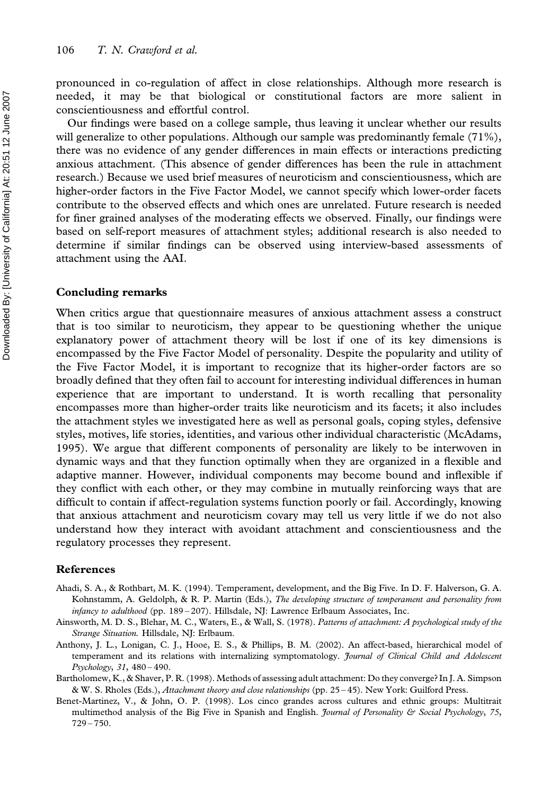pronounced in co-regulation of affect in close relationships. Although more research is needed, it may be that biological or constitutional factors are more salient in conscientiousness and effortful control.

Our findings were based on a college sample, thus leaving it unclear whether our results will generalize to other populations. Although our sample was predominantly female (71%), there was no evidence of any gender differences in main effects or interactions predicting anxious attachment. (This absence of gender differences has been the rule in attachment research.) Because we used brief measures of neuroticism and conscientiousness, which are higher-order factors in the Five Factor Model, we cannot specify which lower-order facets contribute to the observed effects and which ones are unrelated. Future research is needed for finer grained analyses of the moderating effects we observed. Finally, our findings were based on self-report measures of attachment styles; additional research is also needed to determine if similar findings can be observed using interview-based assessments of attachment using the AAI.

# Concluding remarks

When critics argue that questionnaire measures of anxious attachment assess a construct that is too similar to neuroticism, they appear to be questioning whether the unique explanatory power of attachment theory will be lost if one of its key dimensions is encompassed by the Five Factor Model of personality. Despite the popularity and utility of the Five Factor Model, it is important to recognize that its higher-order factors are so broadly defined that they often fail to account for interesting individual differences in human experience that are important to understand. It is worth recalling that personality encompasses more than higher-order traits like neuroticism and its facets; it also includes the attachment styles we investigated here as well as personal goals, coping styles, defensive styles, motives, life stories, identities, and various other individual characteristic (McAdams, 1995). We argue that different components of personality are likely to be interwoven in dynamic ways and that they function optimally when they are organized in a flexible and adaptive manner. However, individual components may become bound and inflexible if they conflict with each other, or they may combine in mutually reinforcing ways that are difficult to contain if affect-regulation systems function poorly or fail. Accordingly, knowing that anxious attachment and neuroticism covary may tell us very little if we do not also understand how they interact with avoidant attachment and conscientiousness and the regulatory processes they represent.

### References

- Ahadi, S. A., & Rothbart, M. K. (1994). Temperament, development, and the Big Five. In D. F. Halverson, G. A. Kohnstamm, A. Geldolph, & R. P. Martin (Eds.), The developing structure of temperament and personality from infancy to adulthood (pp. 189 – 207). Hillsdale, NJ: Lawrence Erlbaum Associates, Inc.
- Ainsworth, M. D. S., Blehar, M. C., Waters, E., & Wall, S. (1978). Patterns of attachment: A psychological study of the Strange Situation. Hillsdale, NJ: Erlbaum.
- Anthony, J. L., Lonigan, C. J., Hooe, E. S., & Phillips, B. M. (2002). An affect-based, hierarchical model of temperament and its relations with internalizing symptomatology. Journal of Clinical Child and Adolescent Psychology, 31, 480 – 490.
- Bartholomew, K., & Shaver, P. R. (1998). Methods of assessing adult attachment: Do they converge? In J. A. Simpson & W. S. Rholes (Eds.), Attachment theory and close relationships (pp. 25 – 45). New York: Guilford Press.
- Benet-Martinez, V., & John, O. P. (1998). Los cinco grandes across cultures and ethnic groups: Multitrait multimethod analysis of the Big Five in Spanish and English. *Journal of Personality & Social Psychology*, 75, 729 – 750.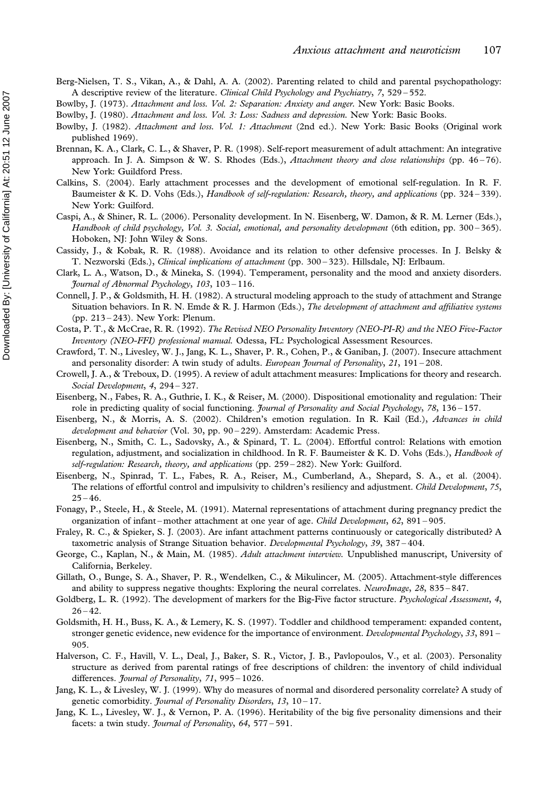- Berg-Nielsen, T. S., Vikan, A., & Dahl, A. A. (2002). Parenting related to child and parental psychopathology: A descriptive review of the literature. Clinical Child Psychology and Psychiatry, 7, 529 – 552.
- Bowlby, J. (1973). Attachment and loss. Vol. 2: Separation: Anxiety and anger. New York: Basic Books.
- Bowlby, J. (1980). Attachment and loss. Vol. 3: Loss: Sadness and depression. New York: Basic Books.
- Bowlby, J. (1982). Attachment and loss. Vol. 1: Attachment (2nd ed.). New York: Basic Books (Original work published 1969).
- Brennan, K. A., Clark, C. L., & Shaver, P. R. (1998). Self-report measurement of adult attachment: An integrative approach. In J. A. Simpson & W. S. Rhodes (Eds.), *Attachment theory and close relationships* (pp.  $46-76$ ). New York: Guildford Press.
- Calkins, S. (2004). Early attachment processes and the development of emotional self-regulation. In R. F. Baumeister & K. D. Vohs (Eds.), Handbook of self-regulation: Research, theory, and applications (pp. 324–339). New York: Guilford.
- Caspi, A., & Shiner, R. L. (2006). Personality development. In N. Eisenberg, W. Damon, & R. M. Lerner (Eds.), Handbook of child psychology, Vol. 3. Social, emotional, and personality development (6th edition, pp. 300–365). Hoboken, NJ: John Wiley & Sons.
- Cassidy, J., & Kobak, R. R. (1988). Avoidance and its relation to other defensive processes. In J. Belsky & T. Nezworski (Eds.), Clinical implications of attachment (pp. 300 – 323). Hillsdale, NJ: Erlbaum.
- Clark, L. A., Watson, D., & Mineka, S. (1994). Temperament, personality and the mood and anxiety disorders. Journal of Abnormal Psychology, 103, 103 – 116.
- Connell, J. P., & Goldsmith, H. H. (1982). A structural modeling approach to the study of attachment and Strange Situation behaviors. In R. N. Emde & R. J. Harmon (Eds.), The development of attachment and affiliative systems (pp. 213 – 243). New York: Plenum.
- Costa, P. T., & McCrae, R. R. (1992). The Revised NEO Personality Inventory (NEO-PI-R) and the NEO Five-Factor Inventory (NEO-FFI) professional manual. Odessa, FL: Psychological Assessment Resources.
- Crawford, T. N., Livesley, W. J., Jang, K. L., Shaver, P. R., Cohen, P., & Ganiban, J. (2007). Insecure attachment and personality disorder: A twin study of adults. *European Journal of Personality*, 21, 191 – 208.
- Crowell, J. A., & Treboux, D. (1995). A review of adult attachment measures: Implications for theory and research. Social Development, 4, 294 – 327.
- Eisenberg, N., Fabes, R. A., Guthrie, I. K., & Reiser, M. (2000). Dispositional emotionality and regulation: Their role in predicting quality of social functioning. *Journal of Personality and Social Psychology*, 78, 136–157.
- Eisenberg, N., & Morris, A. S. (2002). Children's emotion regulation. In R. Kail (Ed.), Advances in child development and behavior (Vol. 30, pp. 90 – 229). Amsterdam: Academic Press.
- Eisenberg, N., Smith, C. L., Sadovsky, A., & Spinard, T. L. (2004). Effortful control: Relations with emotion regulation, adjustment, and socialization in childhood. In R. F. Baumeister & K. D. Vohs (Eds.), *Handbook of* self-regulation: Research, theory, and applications (pp. 259 - 282). New York: Guilford.
- Eisenberg, N., Spinrad, T. L., Fabes, R. A., Reiser, M., Cumberland, A., Shepard, S. A., et al. (2004). The relations of effortful control and impulsivity to children's resiliency and adjustment. Child Development, 75,  $25 - 46$
- Fonagy, P., Steele, H., & Steele, M. (1991). Maternal representations of attachment during pregnancy predict the organization of infant – mother attachment at one year of age. Child Development, 62, 891 – 905.
- Fraley, R. C., & Spieker, S. J. (2003). Are infant attachment patterns continuously or categorically distributed? A taxometric analysis of Strange Situation behavior. Developmental Psychology, 39, 387 – 404.
- George, C., Kaplan, N., & Main, M. (1985). Adult attachment interview. Unpublished manuscript, University of California, Berkeley.
- Gillath, O., Bunge, S. A., Shaver, P. R., Wendelken, C., & Mikulincer, M. (2005). Attachment-style differences and ability to suppress negative thoughts: Exploring the neural correlates. NeuroImage, 28, 835 – 847.
- Goldberg, L. R. (1992). The development of markers for the Big-Five factor structure. Psychological Assessment, 4,  $26 - 42.$
- Goldsmith, H. H., Buss, K. A., & Lemery, K. S. (1997). Toddler and childhood temperament: expanded content, stronger genetic evidence, new evidence for the importance of environment. Developmental Psychology, 33, 891 – 905.
- Halverson, C. F., Havill, V. L., Deal, J., Baker, S. R., Victor, J. B., Pavlopoulos, V., et al. (2003). Personality structure as derived from parental ratings of free descriptions of children: the inventory of child individual differences. Journal of Personality, 71, 995-1026.
- Jang, K. L., & Livesley, W. J. (1999). Why do measures of normal and disordered personality correlate? A study of genetic comorbidity. Journal of Personality Disorders, 13, 10-17.
- Jang, K. L., Livesley, W. J., & Vernon, P. A. (1996). Heritability of the big five personality dimensions and their facets: a twin study. Journal of Personality, 64, 577-591.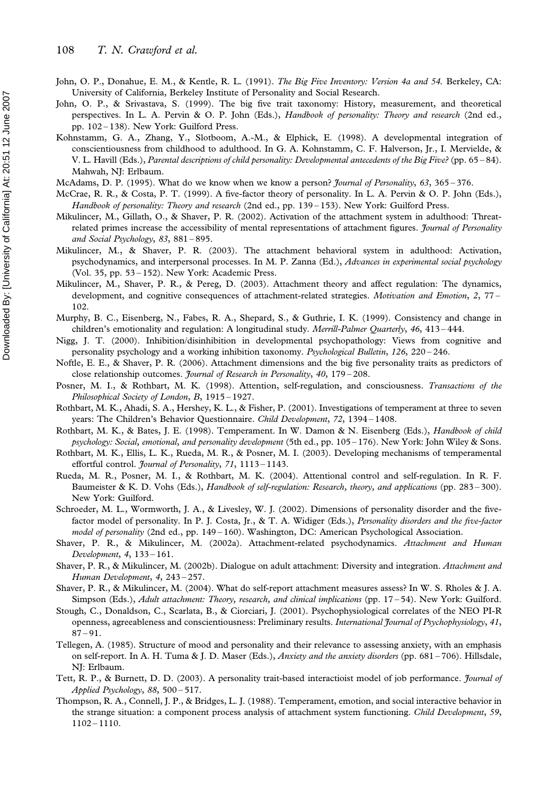- John, O. P., Donahue, E. M., & Kentle, R. L. (1991). The Big Five Inventory: Version 4a and 54. Berkeley, CA: University of California, Berkeley Institute of Personality and Social Research.
- John, O. P., & Srivastava, S. (1999). The big five trait taxonomy: History, measurement, and theoretical perspectives. In L. A. Pervin & O. P. John (Eds.), Handbook of personality: Theory and research (2nd ed., pp. 102 – 138). New York: Guilford Press.
- Kohnstamm, G. A., Zhang, Y., Slotboom, A.-M., & Elphick, E. (1998). A developmental integration of conscientiousness from childhood to adulthood. In G. A. Kohnstamm, C. F. Halverson, Jr., I. Mervielde, & V. L. Havill (Eds.), Parental descriptions of child personality: Developmental antecedents of the Big Five? (pp. 65 – 84). Mahwah, NJ: Erlbaum.
- McAdams, D. P. (1995). What do we know when we know a person? *Journal of Personality*, 63, 365 376.
- McCrae, R. R., & Costa, P. T. (1999). A five-factor theory of personality. In L. A. Pervin & O. P. John (Eds.), Handbook of personality: Theory and research (2nd ed., pp. 139–153). New York: Guilford Press.
- Mikulincer, M., Gillath, O., & Shaver, P. R. (2002). Activation of the attachment system in adulthood: Threatrelated primes increase the accessibility of mental representations of attachment figures. *Journal of Personality* and Social Psychology, 83, 881 – 895.
- Mikulincer, M., & Shaver, P. R. (2003). The attachment behavioral system in adulthood: Activation, psychodynamics, and interpersonal processes. In M. P. Zanna (Ed.), Advances in experimental social psychology (Vol. 35, pp. 53 – 152). New York: Academic Press.
- Mikulincer, M., Shaver, P. R., & Pereg, D. (2003). Attachment theory and affect regulation: The dynamics, development, and cognitive consequences of attachment-related strategies. Motivation and Emotion, 2, 77 – 102.
- Murphy, B. C., Eisenberg, N., Fabes, R. A., Shepard, S., & Guthrie, I. K. (1999). Consistency and change in children's emotionality and regulation: A longitudinal study. *Merrill-Palmer Ouarterly*, 46, 413–444.
- Nigg, J. T. (2000). Inhibition/disinhibition in developmental psychopathology: Views from cognitive and personality psychology and a working inhibition taxonomy. Psychological Bulletin, 126, 220 – 246.
- Noftle, E. E., & Shaver, P. R. (2006). Attachment dimensions and the big five personality traits as predictors of close relationship outcomes. Journal of Research in Personality, 40, 179-208.
- Posner, M. I., & Rothbart, M. K. (1998). Attention, self-regulation, and consciousness. Transactions of the Philosophical Society of London, B, 1915-1927.
- Rothbart, M. K., Ahadi, S. A., Hershey, K. L., & Fisher, P. (2001). Investigations of temperament at three to seven years: The Children's Behavior Questionnaire. Child Development, 72, 1394-1408.
- Rothbart, M. K., & Bates, J. E. (1998). Temperament. In W. Damon & N. Eisenberg (Eds.), Handbook of child psychology: Social, emotional, and personality development (5th ed., pp. 105 – 176). New York: John Wiley & Sons.
- Rothbart, M. K., Ellis, L. K., Rueda, M. R., & Posner, M. I. (2003). Developing mechanisms of temperamental effortful control. Journal of Personality, 71, 1113-1143.
- Rueda, M. R., Posner, M. I., & Rothbart, M. K. (2004). Attentional control and self-regulation. In R. F. Baumeister & K. D. Vohs (Eds.), Handbook of self-regulation: Research, theory, and applications (pp. 283–300). New York: Guilford.
- Schroeder, M. L., Wormworth, J. A., & Livesley, W. J. (2002). Dimensions of personality disorder and the fivefactor model of personality. In P. J. Costa, Jr., & T. A. Widiger (Eds.), Personality disorders and the five-factor model of personality (2nd ed., pp. 149 – 160). Washington, DC: American Psychological Association.
- Shaver, P. R., & Mikulincer, M. (2002a). Attachment-related psychodynamics. Attachment and Human Development, 4, 133 – 161.
- Shaver, P. R., & Mikulincer, M. (2002b). Dialogue on adult attachment: Diversity and integration. Attachment and Human Development, 4, 243 – 257.
- Shaver, P. R., & Mikulincer, M. (2004). What do self-report attachment measures assess? In W. S. Rholes & J. A. Simpson (Eds.), Adult attachment: Theory, research, and clinical implications (pp. 17-54). New York: Guilford.
- Stough, C., Donaldson, C., Scarlata, B., & Ciorciari, J. (2001). Psychophysiological correlates of the NEO PI-R openness, agreeableness and conscientiousness: Preliminary results. International Journal of Psychophysiology, 41,  $87 - 91$ .
- Tellegen, A. (1985). Structure of mood and personality and their relevance to assessing anxiety, with an emphasis on self-report. In A. H. Tuma & J. D. Maser (Eds.), Anxiety and the anxiety disorders (pp. 681-706). Hillsdale, NJ: Erlbaum.
- Tett, R. P., & Burnett, D. D. (2003). A personality trait-based interactioist model of job performance. *Journal of* Applied Psychology, 88, 500-517.
- Thompson, R. A., Connell, J. P., & Bridges, L. J. (1988). Temperament, emotion, and social interactive behavior in the strange situation: a component process analysis of attachment system functioning. Child Development, 59, 1102 – 1110.